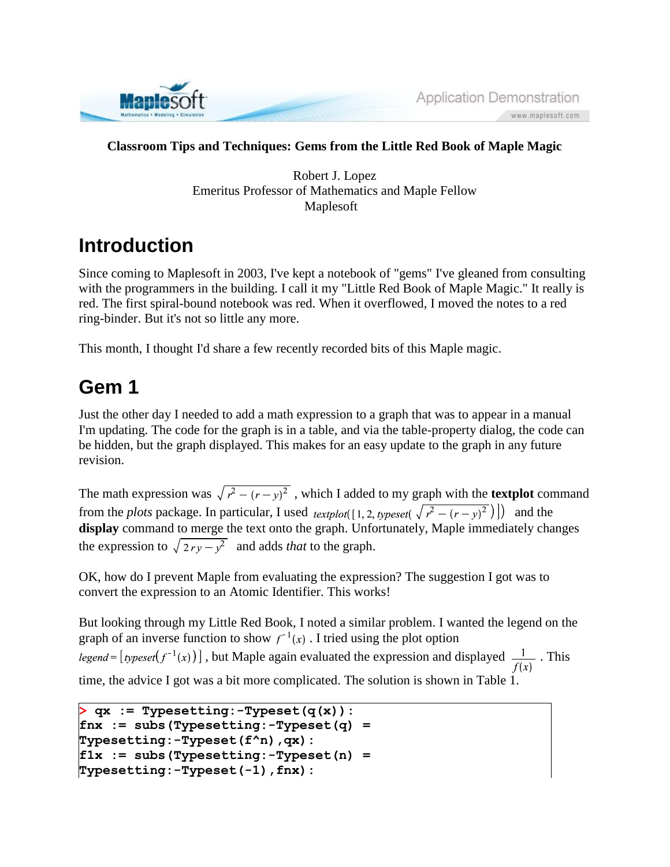

#### **Classroom Tips and Techniques: Gems from the Little Red Book of Maple Magic**

Robert J. Lopez Emeritus Professor of Mathematics and Maple Fellow Maplesoft

#### **Introduction**

Since coming to Maplesoft in 2003, I've kept a notebook of "gems" I've gleaned from consulting with the programmers in the building. I call it my "Little Red Book of Maple Magic." It really is red. The first spiral-bound notebook was red. When it overflowed, I moved the notes to a red ring-binder. But it's not so little any more.

This month, I thought I'd share a few recently recorded bits of this Maple magic.

## **Gem 1**

Just the other day I needed to add a math expression to a graph that was to appear in a manual I'm updating. The code for the graph is in a table, and via the table-property dialog, the code can be hidden, but the graph displayed. This makes for an easy update to the graph in any future revision.

The math expression was  $\sqrt{r^2 - (r - y)^2}$ , which I added to my graph with the **textplot** command from the *plots* package. In particular, I used *textplot*([1, 2, *typeset*( $\sqrt{r^2 - (r - y)^2}$ )]) and the **display** command to merge the text onto the graph. Unfortunately, Maple immediately changes the expression to  $\sqrt{2ry - y^2}$  and adds *that* to the graph.

OK, how do I prevent Maple from evaluating the expression? The suggestion I got was to convert the expression to an Atomic Identifier. This works!

But looking through my Little Red Book, I noted a similar problem. I wanted the legend on the graph of an inverse function to show  $f^{-1}(x)$ . I tried using the plot option legend =  $[typeset(f^{-1}(x))]$ , but Maple again evaluated the expression and displayed  $\frac{1}{f(x)}$ . This

time, the advice I got was a bit more complicated. The solution is shown in Table 1.

```
> qx := Typesetting:-Typeset(q(x)):
fnx := subs(Typesetting:-Typeset(q) = 
Typesetting:-Typeset(f^n),qx):
f1x := subs(Typesetting:-Typeset(n) = 
Typesetting:-Typeset(-1),fnx):
```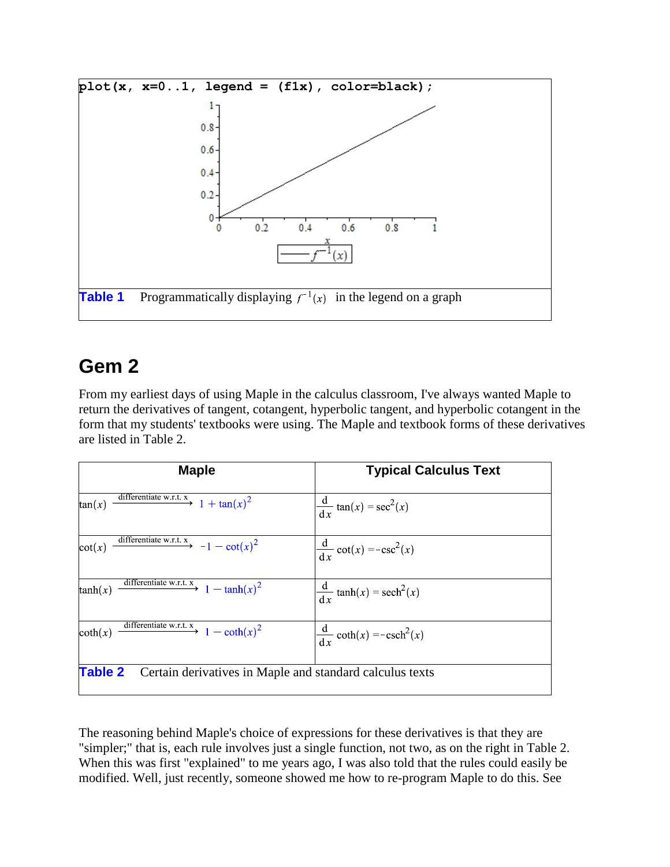

## **Gem 2**

From my earliest days of using Maple in the calculus classroom, I've always wanted Maple to return the derivatives of tangent, cotangent, hyperbolic tangent, and hyperbolic cotangent in the form that my students' textbooks were using. The Maple and textbook forms of these derivatives are listed in Table 2.

| <b>Maple</b>                                                            | <b>Typical Calculus Text</b>                   |
|-------------------------------------------------------------------------|------------------------------------------------|
| differentiate w.r.t. x<br>$1 + \tan(x)^2$<br>tan(x)                     | $\frac{d}{dx}$ tan(x) = sec <sup>2</sup> (x)   |
| $\cot(x) \xrightarrow{\text{differentiate w.r.t. x}} -1 - \cot(x)^2$    | $\frac{d}{dx} \cot(x) = -\csc^2(x)$            |
| $\tanh(x)$ differentiate w.r.t. $x \rightarrow 1 - \tanh(x)^2$          | $\frac{d}{dx}$ tanh(x) = sech <sup>2</sup> (x) |
| coth(x) $\frac{\text{differentiate w.r.t. x}}{1 - \coth(x)^2}$          | $\frac{d}{dx} \coth(x) = -\text{csch}^2(x)$    |
| <b>Table 2</b> Certain derivatives in Maple and standard calculus texts |                                                |

The reasoning behind Maple's choice of expressions for these derivatives is that they are "simpler;" that is, each rule involves just a single function, not two, as on the right in Table 2. When this was first "explained" to me years ago, I was also told that the rules could easily be modified. Well, just recently, someone showed me how to re-program Maple to do this. See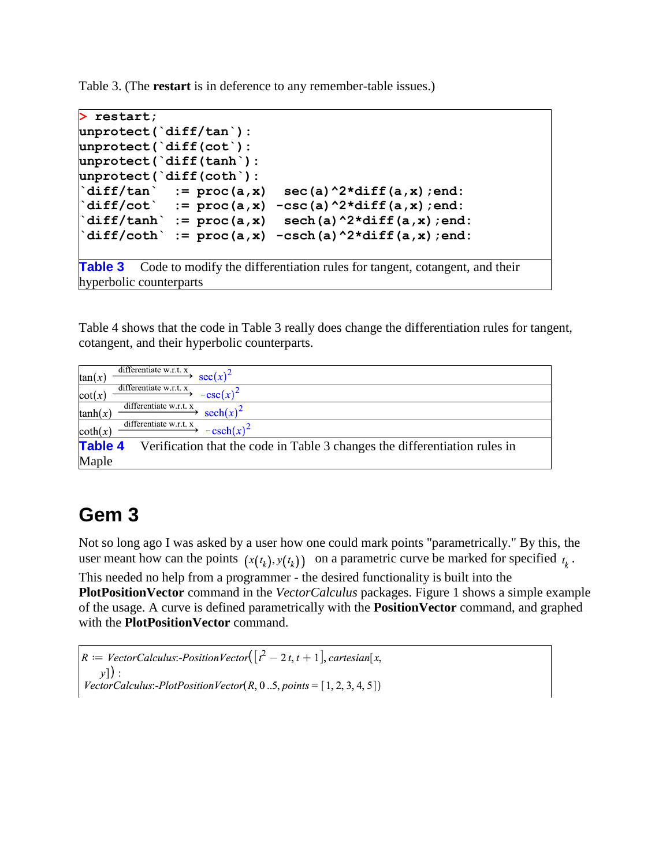Table 3. (The **restart** is in deference to any remember-table issues.)

```
> restart;
unprotect(`diff/tan`):
unprotect(`diff(cot`):
unprotect(`diff(tanh`):
unprotect(`diff(coth`):
`diff/tan` := proc(a,x) sec(a)^2*diff(a,x);end:
diff/cot := proc(a,x) -csc(a)^2xdiff(a,x);end:
diff/tanh := proc(a,x) sech(a)^2*diff(a,x);end:
diff/coth := proc(a,x) -csch(a)^2*diff(a,x);end:
Table 3 Code to modify the differentiation rules for tangent, cotangent, and their
```
hyperbolic counterparts

Table 4 shows that the code in Table 3 really does change the differentiation rules for tangent, cotangent, and their hyperbolic counterparts.

| differentiate w.r.t. x<br>$sec(x)^2$<br>tan(x)                                               |
|----------------------------------------------------------------------------------------------|
| differentiate w.r.t. x<br>$-\csc(x)^2$<br>cot(x)                                             |
| differentiate w.r.t. x<br>$sech(x)^2$<br>tanh(x)                                             |
| differentiate w.r.t. x<br>$-\text{csch}(x)^2$<br>$\coth(x)$                                  |
| <b>Table 4</b><br>Verification that the code in Table 3 changes the differentiation rules in |
| Maple                                                                                        |

#### **Gem 3**

Not so long ago I was asked by a user how one could mark points "parametrically." By this, the user meant how can the points  $(x(t_k), y(t_k))$  on a parametric curve be marked for specified  $t_k$ . This needed no help from a programmer - the desired functionality is built into the **PlotPositionVector** command in the *VectorCalculus* packages. Figure 1 shows a simple example of the usage. A curve is defined parametrically with the **PositionVector** command, and graphed with the **PlotPositionVector** command.

```
R := VectorCalculus:-PositionVector(\left[ \int_{t}^{2} -2t, t+1 \right], cartesian[x,
    \nu]):
VectorCalculus:-PlotPositionVector(R, 0..5, points = [1, 2, 3, 4, 5])
```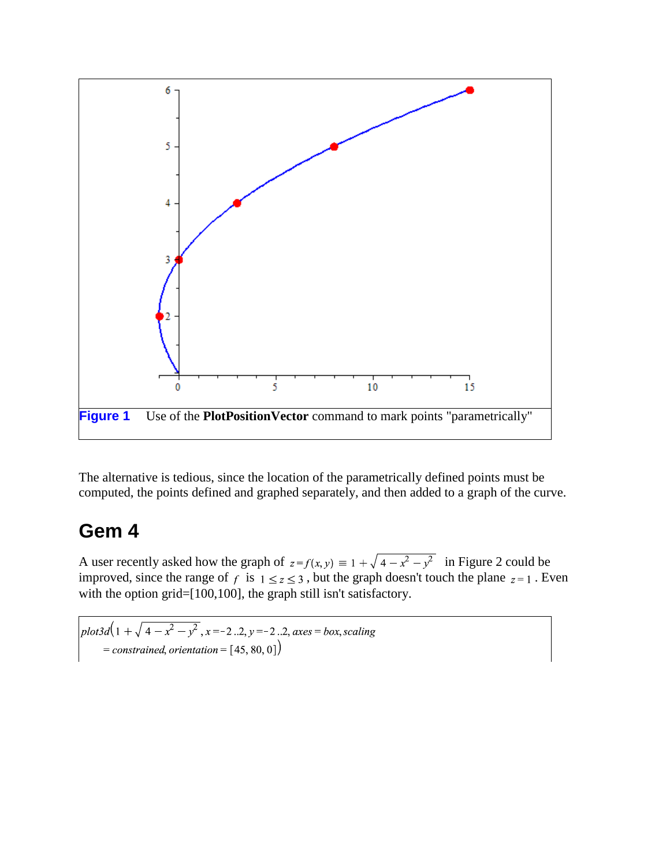

The alternative is tedious, since the location of the parametrically defined points must be computed, the points defined and graphed separately, and then added to a graph of the curve.

#### **Gem 4**

A user recently asked how the graph of  $z = f(x, y) \equiv 1 + \sqrt{4 - x^2 - y^2}$  in Figure 2 could be improved, since the range of f is  $1 \le z \le 3$ , but the graph doesn't touch the plane  $z = 1$ . Even with the option grid=[100,100], the graph still isn't satisfactory.

 $plot3d(1 + \sqrt{4-x^2-y^2}, x=-2..2, y=-2..2, axes=box, scaling)$ = constrained, orientation =  $[45, 80, 0]$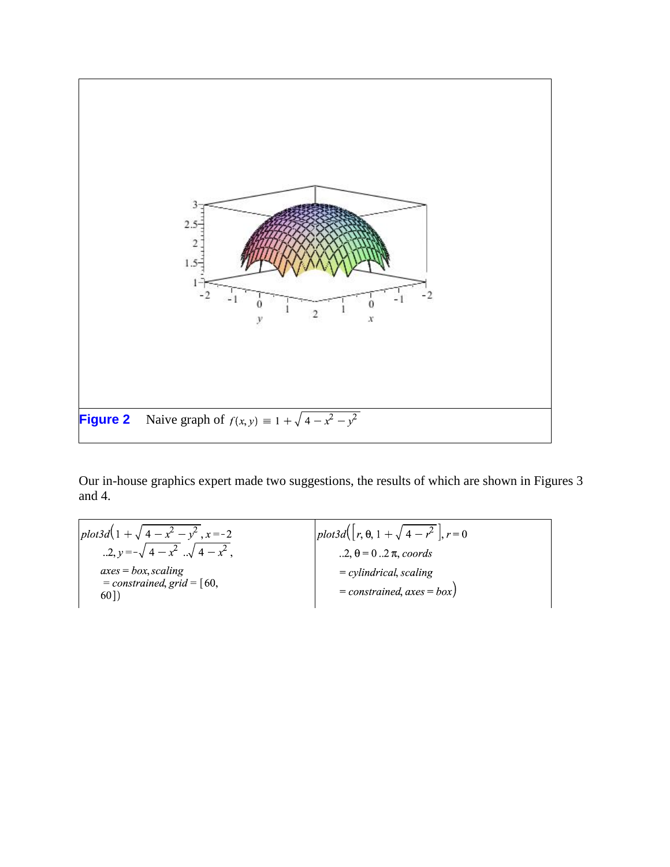

Our in-house graphics expert made two suggestions, the results of which are shown in Figures 3 and 4.

plot3d(1+ $\sqrt{4-x^2-y^2}$ , x=-2<br>..2, y =- $\sqrt{4-x^2}$ ... $\sqrt{4-x^2}$ ,  $plot3d([r, \theta, 1 + \sqrt{4-r^2}], r=0)$ ..2,  $\theta = 0$  ..2  $\pi$ , coords  $axes = box, scaling$  $=$  cylindrical, scaling  $=$  constrained, grid =  $[60,$  $=$  constrained, axes  $=$  box)  $60]$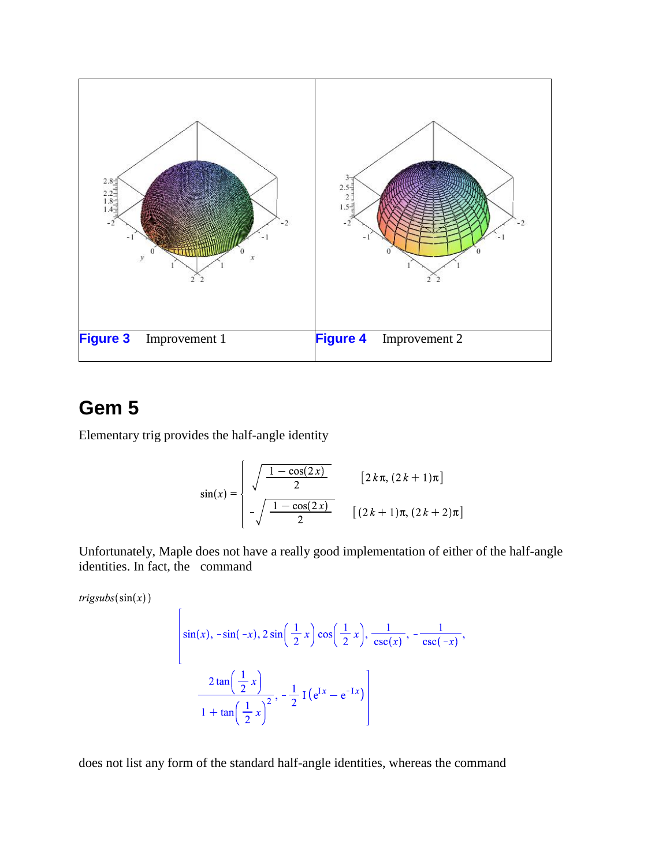

# **Gem 5**

Elementary trig provides the half-angle identity

 $\mathbf{r}$ 

$$
\sin(x) = \begin{cases} \sqrt{\frac{1 - \cos(2x)}{2}} & [2 k \pi, (2 k + 1) \pi] \\ -\sqrt{\frac{1 - \cos(2x)}{2}} & [(2 k + 1) \pi, (2 k + 2) \pi] \end{cases}
$$

Unfortunately, Maple does not have a really good implementation of either of the half-angle identities. In fact, the command

 $trigsubs(sin(x))$ 

$$
\begin{aligned}\n\left|\sin(x), -\sin(-x), 2\sin\left(\frac{1}{2}x\right)\cos\left(\frac{1}{2}x\right), \frac{1}{\csc(x)}, -\frac{1}{\csc(-x)}, \right\| \\
&\frac{2\tan\left(\frac{1}{2}x\right)}{1+\tan\left(\frac{1}{2}x\right)^2}, -\frac{1}{2}\operatorname{I}\left(e^{\operatorname{Ix}}-e^{-\operatorname{Ix}}\right)\n\end{aligned}
$$

does not list any form of the standard half-angle identities, whereas the command